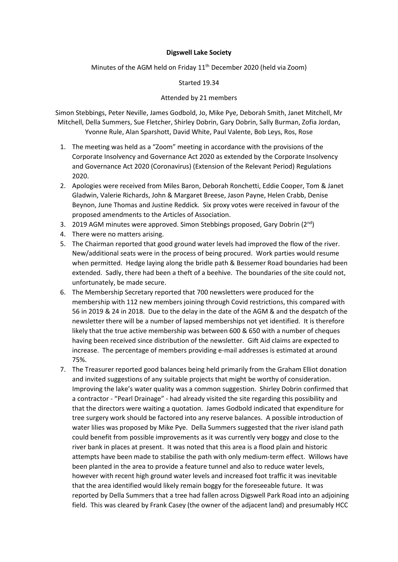## **Digswell Lake Society**

Minutes of the AGM held on Friday  $11<sup>th</sup>$  December 2020 (held via Zoom)

Started 19.34

## Attended by 21 members

Simon Stebbings, Peter Neville, James Godbold, Jo, Mike Pye, Deborah Smith, Janet Mitchell, Mr Mitchell, Della Summers, Sue Fletcher, Shirley Dobrin, Gary Dobrin, Sally Burman, Zofia Jordan, Yvonne Rule, Alan Sparshott, David White, Paul Valente, Bob Leys, Ros, Rose

- 1. The meeting was held as a "Zoom" meeting in accordance with the provisions of the Corporate Insolvency and Governance Act 2020 as extended by the Corporate Insolvency and Governance Act 2020 (Coronavirus) (Extension of the Relevant Period) Regulations 2020.
- 2. Apologies were received from Miles Baron, Deborah Ronchetti, Eddie Cooper, Tom & Janet Gladwin, Valerie Richards, John & Margaret Breese, Jason Payne, Helen Crabb, Denise Beynon, June Thomas and Justine Reddick*.* Six proxy votes were received in favour of the proposed amendments to the Articles of Association.
- 3. 2019 AGM minutes were approved. Simon Stebbings proposed, Gary Dobrin (2nd)
- 4. There were no matters arising.
- 5. The Chairman reported that good ground water levels had improved the flow of the river. New/additional seats were in the process of being procured. Work parties would resume when permitted. Hedge laying along the bridle path & Bessemer Road boundaries had been extended. Sadly, there had been a theft of a beehive. The boundaries of the site could not, unfortunately, be made secure.
- 6. The Membership Secretary reported that 700 newsletters were produced for the membership with 112 new members joining through Covid restrictions, this compared with 56 in 2019 & 24 in 2018. Due to the delay in the date of the AGM & and the despatch of the newsletter there will be a number of lapsed memberships not yet identified. It is therefore likely that the true active membership was between 600 & 650 with a number of cheques having been received since distribution of the newsletter. Gift Aid claims are expected to increase. The percentage of members providing e-mail addresses is estimated at around 75%.
- 7. The Treasurer reported good balances being held primarily from the Graham Elliot donation and invited suggestions of any suitable projects that might be worthy of consideration. Improving the lake's water quality was a common suggestion. Shirley Dobrin confirmed that a contractor - "Pearl Drainage" - had already visited the site regarding this possibility and that the directors were waiting a quotation. James Godbold indicated that expenditure for tree surgery work should be factored into any reserve balances. A possible introduction of water lilies was proposed by Mike Pye. Della Summers suggested that the river island path could benefit from possible improvements as it was currently very boggy and close to the river bank in places at present. It was noted that this area is a flood plain and historic attempts have been made to stabilise the path with only medium-term effect. Willows have been planted in the area to provide a feature tunnel and also to reduce water levels, however with recent high ground water levels and increased foot traffic it was inevitable that the area identified would likely remain boggy for the foreseeable future. It was reported by Della Summers that a tree had fallen across Digswell Park Road into an adjoining field. This was cleared by Frank Casey (the owner of the adjacent land) and presumably HCC